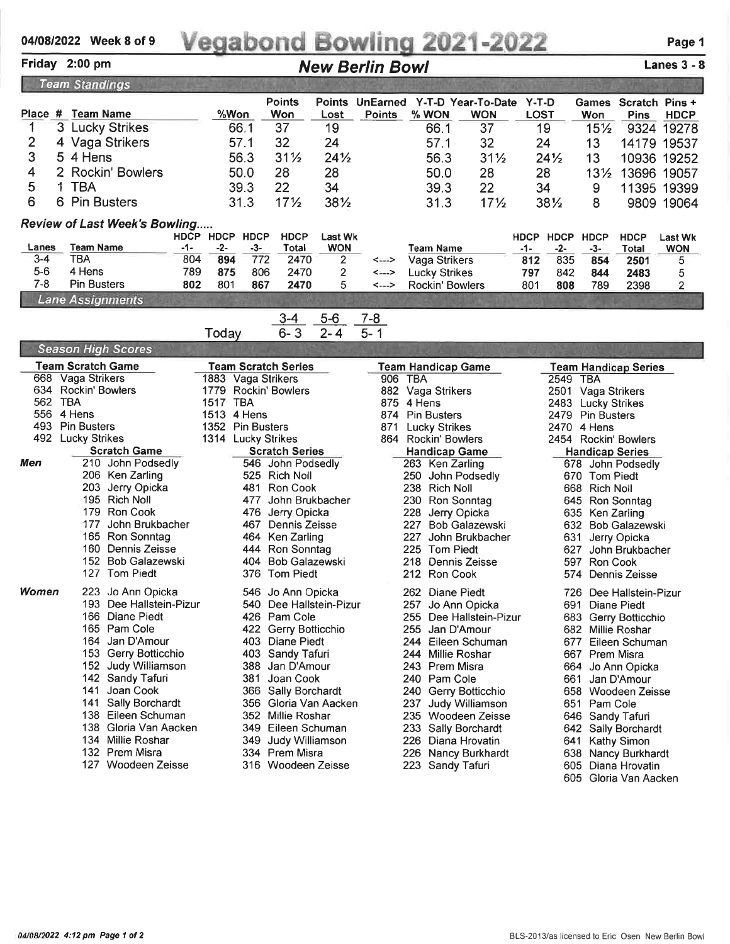## 04/08/2022 Week 8 of 9 ing 2021-2022 Page 1

## New Berlin Bowl

## Lanes 3 - 8

| <b>Team Standings</b>                             |                     |                                                       |                                              |      |          |                      |                                              |                             |                     |                                     |                                  |                                             |                  |                      |                                        |                             |                              |  |  |  |
|---------------------------------------------------|---------------------|-------------------------------------------------------|----------------------------------------------|------|----------|----------------------|----------------------------------------------|-----------------------------|---------------------|-------------------------------------|----------------------------------|---------------------------------------------|------------------|----------------------|----------------------------------------|-----------------------------|------------------------------|--|--|--|
|                                                   |                     |                                                       |                                              |      |          |                      | <b>Points</b>                                |                             |                     |                                     |                                  | Points UnEarned Y-T-D Year-To-Date Y-T-D    |                  |                      |                                        | Games Scratch Pins +        |                              |  |  |  |
|                                                   |                     | Place # Team Name                                     |                                              |      | %Won     |                      | Won                                          | Lost                        | <b>Points</b>       |                                     | % WON                            | <b>WON</b>                                  | <b>LOST</b>      |                      | Won                                    | <b>Pins</b>                 | <b>HDCP</b>                  |  |  |  |
|                                                   | $\mathbf{3}$        |                                                       | <b>Lucky Strikes</b>                         |      |          | 66.1                 | 37                                           | 19                          |                     |                                     | 66.1                             | 37                                          | 19               |                      | $15\frac{1}{2}$                        |                             | 9324 19278                   |  |  |  |
| 2                                                 |                     |                                                       | 4 Vaga Strikers                              |      |          | 57.1                 | 32                                           | 24                          |                     |                                     | 57.1                             | 32                                          | 24               |                      | 13                                     | 14179 19537                 |                              |  |  |  |
| 3                                                 | 5                   | 4 Hens                                                |                                              |      |          | 56.3                 | $31\frac{1}{2}$                              | $24\frac{1}{2}$             |                     |                                     | 56.3                             | $31\frac{1}{2}$                             |                  | $24\frac{1}{2}$      | 13                                     | 10936 19252                 |                              |  |  |  |
| 4                                                 |                     |                                                       | 2 Rockin' Bowlers                            |      |          | 50.0                 | 28                                           | 28                          |                     |                                     | 50.0                             | 28                                          | 28               |                      | $13\frac{1}{2}$                        | 13696 19057                 |                              |  |  |  |
| 5                                                 | 1<br><b>TBA</b>     |                                                       |                                              | 39.3 |          | 22                   | 34                                           |                             | 39.3<br>22          |                                     |                                  | 34                                          |                  | 9                    | 11395 19399                            |                             |                              |  |  |  |
| 6                                                 |                     | 6 Pin Busters                                         |                                              |      |          | 31.3                 | 17 <sub>2</sub>                              | 381/2                       |                     |                                     | 31.3                             | $17\frac{1}{2}$                             |                  | 381/2                | 8                                      |                             | 9809 19064                   |  |  |  |
| <b>Review of Last Week's Bowling</b><br>HDCP HDCP |                     |                                                       |                                              |      |          |                      |                                              |                             |                     |                                     |                                  |                                             |                  |                      |                                        |                             |                              |  |  |  |
| Lanes                                             |                     | <b>Team Name</b>                                      | -1-                                          |      | -2-      | <b>HDCP</b><br>$-3-$ | <b>HDCP</b><br>Total                         | Last Wk<br><b>WON</b>       |                     |                                     | Team Name                        |                                             | HDCP HDCP<br>-1- | -2-                  | <b>HDCP</b><br>-3-                     | <b>HDCP</b><br>Total        | <b>Last Wk</b><br><b>WON</b> |  |  |  |
| $3-4$                                             |                     | <b>TBA</b>                                            | 804                                          |      | 894      | 772                  | 2470                                         | 2                           | <--->               |                                     | Vaga Strikers                    |                                             | 812              | 835                  | 854                                    | 2501                        | 5                            |  |  |  |
| $5-6$                                             |                     | 4 Hens                                                | 789                                          |      | 875      | 806                  | 2470                                         | $\overline{\mathbf{c}}$     | <--->               |                                     | <b>Lucky Strikes</b>             |                                             | 797              | 842                  | 844                                    | 2483                        | 5                            |  |  |  |
| $7 - 8$                                           |                     | <b>Pin Busters</b>                                    | 802                                          |      | 801      | 867                  | 2470                                         | 5                           | <--->               |                                     | <b>Rockin' Bowlers</b>           |                                             | 801              | 808                  | 789                                    | 2398                        | $\overline{2}$               |  |  |  |
| <b>Lane Assignments</b>                           |                     |                                                       |                                              |      |          |                      |                                              |                             |                     |                                     |                                  |                                             |                  |                      |                                        |                             |                              |  |  |  |
|                                                   |                     |                                                       |                                              |      | Today    |                      | $3 - 4$<br>$6 - 3$                           | $5-6$<br>$2 - 4$            | $7 - 8$<br>$5 - 1$  |                                     |                                  |                                             |                  |                      |                                        |                             |                              |  |  |  |
|                                                   |                     |                                                       | <b>Season High Scores</b>                    |      |          |                      |                                              |                             |                     |                                     |                                  |                                             |                  |                      |                                        |                             |                              |  |  |  |
|                                                   |                     | <b>Team Scratch Game</b>                              |                                              |      |          |                      | <b>Team Scratch Series</b>                   |                             |                     |                                     | <b>Team Handicap Game</b>        |                                             |                  |                      |                                        | <b>Team Handicap Series</b> |                              |  |  |  |
|                                                   |                     | 668 Vaga Strikers                                     |                                              |      |          |                      | 1883 Vaga Strikers                           |                             | 906 TBA             |                                     |                                  |                                             |                  | <b>2549 TBA</b>      |                                        |                             |                              |  |  |  |
|                                                   | 634 Rockin' Bowlers |                                                       |                                              |      |          | 1779 Rockin' Bowlers |                                              |                             | 882 Vaga Strikers   |                                     |                                  |                                             |                  | 2501 Vaga Strikers   |                                        |                             |                              |  |  |  |
|                                                   |                     | 562 TBA<br>556 4 Hens                                 |                                              |      | 1517 TBA |                      |                                              |                             | 875                 | 4 Hens<br>874<br><b>Pin Busters</b> |                                  |                                             |                  |                      | 2483 Lucky Strikes<br>2479 Pin Busters |                             |                              |  |  |  |
| 493                                               |                     | 1513 4 Hens<br><b>Pin Busters</b><br>1352 Pin Busters |                                              |      |          |                      |                                              | 871<br><b>Lucky Strikes</b> |                     |                                     |                                  |                                             | 2470 4 Hens      |                      |                                        |                             |                              |  |  |  |
|                                                   |                     | 492 Lucky Strikes                                     |                                              |      |          |                      | 1314 Lucky Strikes                           |                             | 864 Rockin' Bowlers |                                     |                                  |                                             |                  | 2454 Rockin' Bowlers |                                        |                             |                              |  |  |  |
|                                                   | <b>Scratch Game</b> |                                                       |                                              |      |          |                      | <b>Scratch Series</b>                        |                             |                     | <b>Handicap Game</b>                |                                  |                                             |                  |                      | <b>Handicap Series</b>                 |                             |                              |  |  |  |
| Men                                               |                     |                                                       | 210 John Podsedly                            |      |          |                      | 546 John Podsedly                            |                             |                     |                                     | 263 Ken Zarling                  |                                             |                  |                      |                                        | 678 John Podsedly           |                              |  |  |  |
|                                                   |                     |                                                       | 206 Ken Zarling                              |      |          |                      | 525 Rich Noll                                |                             |                     |                                     |                                  | 250 John Podsedly                           |                  |                      | 670 Tom Piedt                          |                             |                              |  |  |  |
|                                                   |                     |                                                       | 203 Jerry Opicka<br>195 Rich Noll            |      |          | 481<br>477           | <b>Ron Cook</b><br>John Brukbacher           |                             |                     |                                     | 238 Rich Noll<br>230 Ron Sonntag |                                             |                  |                      | 668 Rich Noll<br>645 Ron Sonntag       |                             |                              |  |  |  |
|                                                   |                     |                                                       | 179 Ron Cook                                 |      |          | 476                  | Jerry Opicka                                 |                             |                     | 228                                 | Jerry Opicka                     |                                             |                  |                      | 635 Ken Zarling                        |                             |                              |  |  |  |
|                                                   |                     |                                                       | 177 John Brukbacher                          |      |          |                      | 467 Dennis Zeisse                            |                             |                     | 227                                 |                                  | <b>Bob Galazewski</b>                       |                  | 632                  |                                        | <b>Bob Galazewski</b>       |                              |  |  |  |
|                                                   |                     |                                                       | 165 Ron Sonntag                              |      |          |                      | 464 Ken Zarling                              |                             |                     | 227                                 |                                  | John Brukbacher                             |                  | 631                  |                                        | Jerry Opicka                |                              |  |  |  |
|                                                   |                     |                                                       | 160 Dennis Zeisse                            |      |          |                      | 444 Ron Sonntag                              |                             |                     | 225                                 | <b>Tom Piedt</b>                 |                                             |                  | 627                  |                                        | John Brukbacher             |                              |  |  |  |
|                                                   |                     | 152                                                   | <b>Bob Galazewski</b>                        |      |          |                      | 404 Bob Galazewski                           |                             |                     |                                     |                                  | 218 Dennis Zeisse                           |                  |                      | 597 Ron Cook                           |                             |                              |  |  |  |
|                                                   |                     |                                                       | 127 Tom Piedt                                |      |          |                      | 376 Tom Piedt                                |                             |                     |                                     | 212 Ron Cook                     |                                             |                  | 574                  |                                        | Dennis Zeisse               |                              |  |  |  |
| Women                                             |                     |                                                       | 223 Jo Ann Opicka<br>193 Dee Hallstein-Pizur |      |          |                      | 546 Jo Ann Opicka<br>540 Dee Hallstein-Pizur |                             |                     |                                     | 262 Diane Piedt                  | 257 Jo Ann Opicka                           |                  |                      | 691 Diane Piedt                        | 726 Dee Hallstein-Pizur     |                              |  |  |  |
|                                                   |                     |                                                       | 166 Diane Piedt                              |      |          |                      | 426 Pam Cole                                 |                             |                     |                                     |                                  | 255 Dee Hallstein-Pizur                     |                  |                      |                                        | 683 Gerry Botticchio        |                              |  |  |  |
|                                                   |                     |                                                       | 165 Pam Cole                                 |      |          |                      | 422 Gerry Botticchio                         |                             |                     |                                     | 255 Jan D'Amour                  |                                             |                  |                      | 682 Millie Roshar                      |                             |                              |  |  |  |
|                                                   |                     |                                                       | 164 Jan D'Amour                              |      |          |                      | 403 Diane Piedt                              |                             |                     |                                     |                                  | 244 Eileen Schuman                          |                  |                      |                                        | 677 Eileen Schuman          |                              |  |  |  |
|                                                   |                     |                                                       | 153 Gerry Botticchio                         |      |          |                      | 403 Sandy Tafuri                             |                             |                     |                                     | 244 Millie Roshar                |                                             |                  |                      | 667 Prem Misra                         |                             |                              |  |  |  |
|                                                   |                     |                                                       | 152 Judy Williamson                          |      |          |                      | 388 Jan D'Amour                              |                             |                     |                                     | 243 Prem Misra                   |                                             |                  |                      |                                        | 664 Jo Ann Opicka           |                              |  |  |  |
|                                                   |                     |                                                       | 142 Sandy Tafuri<br>Joan Cook                |      |          | 381                  | Joan Cook                                    |                             |                     |                                     | 240 Pam Cole                     |                                             |                  |                      | 661 Jan D'Amour                        |                             |                              |  |  |  |
|                                                   |                     | 141                                                   | 141 Sally Borchardt                          |      |          |                      | 366 Sally Borchardt<br>356 Gloria Van Aacken |                             |                     |                                     |                                  | 240 Gerry Botticchio<br>237 Judy Williamson |                  |                      | 651 Pam Cole                           | 658 Woodeen Zeisse          |                              |  |  |  |
|                                                   |                     |                                                       | 138 Eileen Schuman                           |      |          |                      | 352 Millie Roshar                            |                             |                     |                                     |                                  | 235 Woodeen Zeisse                          |                  |                      | 646 Sandy Tafuri                       |                             |                              |  |  |  |
|                                                   |                     |                                                       | 138 Gloria Van Aacken                        |      |          |                      | 349 Eileen Schuman                           |                             |                     |                                     |                                  | 233 Sally Borchardt                         |                  |                      |                                        | 642 Sally Borchardt         |                              |  |  |  |
|                                                   |                     |                                                       | 134 Millie Roshar                            |      |          |                      | 349 Judy Williamson                          |                             |                     |                                     |                                  | 226 Diana Hrovatin                          |                  |                      | 641 Kathy Simon                        |                             |                              |  |  |  |
|                                                   |                     |                                                       | 132 Prem Misra                               |      |          |                      | 334 Prem Misra                               |                             |                     |                                     |                                  | 226 Nancy Burkhardt                         |                  |                      |                                        | 638 Nancy Burkhardt         |                              |  |  |  |
|                                                   |                     |                                                       | 127 Woodeen Zeisse                           |      |          |                      | 316 Woodeen Zeisse                           |                             |                     |                                     | 223 Sandy Tafuri                 |                                             |                  |                      |                                        | 605 Diana Hrovatin          |                              |  |  |  |
|                                                   |                     |                                                       |                                              |      |          |                      |                                              |                             |                     |                                     |                                  |                                             |                  |                      |                                        | 605 Gloria Van Aacken       |                              |  |  |  |

Friday 2:00 pm